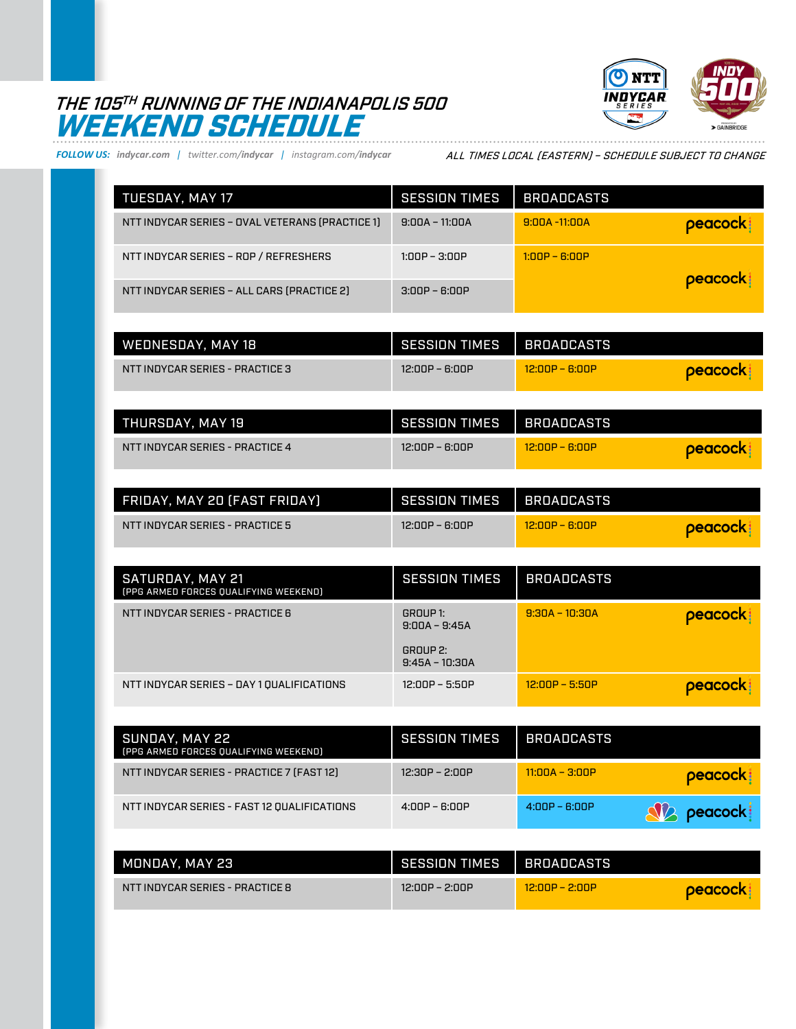## THE 105TH RUNNING OF THE INDIANAPOLIS 500 WEEKEND SCHEDULE



*FOLLOW US: indycar.com | twitter.com/indycar | instagram.com/indycar*

ALL TIMES LOCAL (EASTERN) – SCHEDULE SUBJECT TO CHANGE

| TUESDAY, MAY 17                                 | <b>SESSION TIMES</b> | <b>BROADCASTS</b> |          |
|-------------------------------------------------|----------------------|-------------------|----------|
| NTT INDYCAR SERIES - OVAL VETERANS (PRACTICE 1) | $9:00A - 11:00A$     | $9:00A - 11:00A$  | peacock! |
| NTT INDYCAR SERIES - ROP / REFRESHERS           | $1:00P - 3:00P$      | $1:00P - 6:00P$   |          |
| NTT INDYCAR SERIES - ALL CARS (PRACTICE 2)      | $3:00P - 6:00P$      |                   | peacock: |

| WEDNESDAY, MAY 18               | <b>SESSION TIMES</b> | BROADCASTS       |                |
|---------------------------------|----------------------|------------------|----------------|
| NTT INDYCAR SERIES - PRACTICE 3 | 12:00P – 6:00P       | $12:00P - 6:00P$ | <b>Deacock</b> |

| THURSDAY. MAY 19                | <b>SESSION TIMES</b> | <b>BROADCASTS</b> |                |
|---------------------------------|----------------------|-------------------|----------------|
| NTT INDYCAR SERIES - PRACTICE 4 | 12:00P – 6:00P       | $12:00P - B:00P$  | <b>Deacock</b> |

| FRIDAY, MAY 20 (FAST FRIDAY)    | <b>SESSION TIMES</b> | I BROADCASTS     |                |
|---------------------------------|----------------------|------------------|----------------|
| NTT INDYCAR SERIES - PRACTICE 5 | 12:00P – 6:00P       | $12:00P - B:00P$ | <b>Deacock</b> |

| SATURDAY, MAY 21<br>(PPG ARMED FORCES QUALIFYING WEEKEND) | <b>SESSION TIMES</b>                                        | <b>BROADCASTS</b>            |  |
|-----------------------------------------------------------|-------------------------------------------------------------|------------------------------|--|
| NTT INDYCAR SERIES - PRACTICE 6                           | GROUP 1:<br>$9:00A - 9:45A$<br>GROUP 2:<br>$9:45A - 10:30A$ | peacock:<br>$9:30A - 10:30A$ |  |
| NTT INDYCAR SERIES - DAY 1 QUALIFICATIONS                 | 12:00P – 5:50P                                              | peacock:<br>$12:00P - 5:50P$ |  |

| SUNDAY, MAY 22<br>[PPG ARMED FORCES QUALIFYING WEEKEND] | <b>SESSION TIMES</b> | <b>BROADCASTS</b> |                    |
|---------------------------------------------------------|----------------------|-------------------|--------------------|
| NTT INDYCAR SERIES - PRACTICE 7 [FAST 12]               | 12:30P – 2:00P       | $11:00A - 3:00P$  | peacock:           |
| NTT INDYCAR SERIES - FAST 12 QUALIFICATIONS             | $4:00P - 6:00P$      | $4:00P - 6:00P$   | <b>SV2</b> peacock |

| MONDAY. MAY 23                  | SESSION TIMES    | I BROADCASTS     |                |
|---------------------------------|------------------|------------------|----------------|
| NTT INDYCAR SERIES - PRACTICE 8 | $12:00P - 2:00P$ | $12:00P - 2:00P$ | <b>peacock</b> |